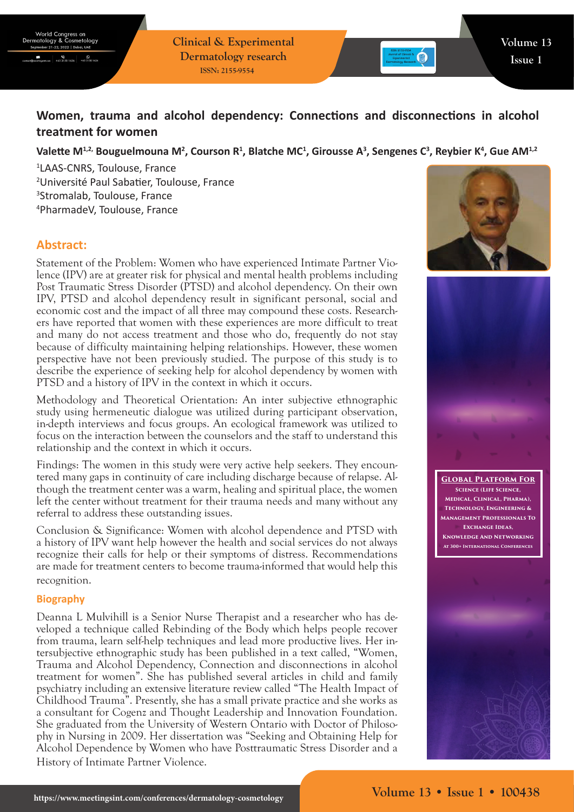**Clinical & Experimental Dermatology research ISSN: 2155-9554**

# **Women, trauma and alcohol dependency: Connections and disconnections in alcohol treatment for women**

Valette M<sup>1,2,</sup> Bouguelmouna M<sup>2</sup>, Courson R<sup>1</sup>, Blatche MC<sup>1</sup>, Girousse A<sup>3</sup>, Sengenes C<sup>3</sup>, Reybier K<sup>4</sup>, Gue AM<sup>1,2</sup>

 LAAS-CNRS, Toulouse, France Université Paul Sabatier, Toulouse, France Stromalab, Toulouse, France PharmadeV, Toulouse, France

## **Abstract:**

Statement of the Problem: Women who have experienced Intimate Partner Violence (IPV) are at greater risk for physical and mental health problems including Post Traumatic Stress Disorder (PTSD) and alcohol dependency. On their own IPV, PTSD and alcohol dependency result in significant personal, social and economic cost and the impact of all three may compound these costs. Researchers have reported that women with these experiences are more difficult to treat and many do not access treatment and those who do, frequently do not stay because of difficulty maintaining helping relationships. However, these women perspective have not been previously studied. The purpose of this study is to describe the experience of seeking help for alcohol dependency by women with PTSD and a history of IPV in the context in which it occurs.

Methodology and Theoretical Orientation: An inter subjective ethnographic study using hermeneutic dialogue was utilized during participant observation, in-depth interviews and focus groups. An ecological framework was utilized to focus on the interaction between the counselors and the staff to understand this relationship and the context in which it occurs.

Findings: The women in this study were very active help seekers. They encountered many gaps in continuity of care including discharge because of relapse. Although the treatment center was a warm, healing and spiritual place, the women left the center without treatment for their trauma needs and many without any referral to address these outstanding issues.

Conclusion & Significance: Women with alcohol dependence and PTSD with a history of IPV want help however the health and social services do not always recognize their calls for help or their symptoms of distress. Recommendations are made for treatment centers to become trauma-informed that would help this recognition.

## **Biography**

Deanna L Mulvihill is a Senior Nurse Therapist and a researcher who has developed a technique called Rebinding of the Body which helps people recover from trauma, learn self-help techniques and lead more productive lives. Her intersubjective ethnographic study has been published in a text called, "Women, Trauma and Alcohol Dependency, Connection and disconnections in alcohol treatment for women". She has published several articles in child and family psychiatry including an extensive literature review called "The Health Impact of Childhood Trauma". Presently, she has a small private practice and she works as a consultant for Cogenz and Thought Leadership and Innovation Foundation. She graduated from the University of Western Ontario with Doctor of Philosophy in Nursing in 2009. Her dissertation was "Seeking and Obtaining Help for Alcohol Dependence by Women who have Posttraumatic Stress Disorder and a History of Intimate Partner Violence.





**Global Platform For Science (Life Science, Medical, Clinical, Pharma), Technology, Engineering & Management Professionals To Exchange Ideas, Knowledge And Networking At 300+ International Conferences**